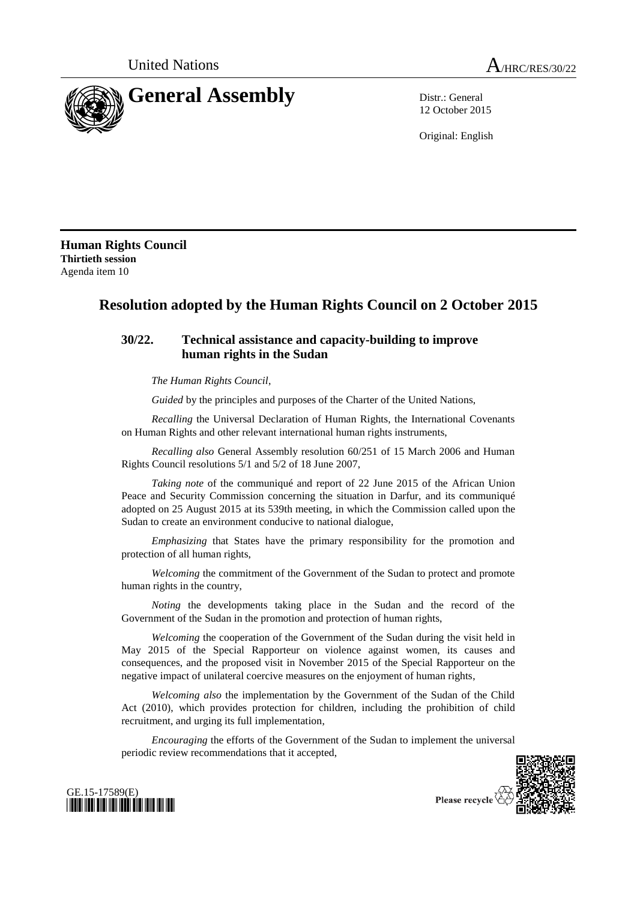

12 October 2015

Original: English

**Human Rights Council Thirtieth session** Agenda item 10

## **Resolution adopted by the Human Rights Council on 2 October 2015**

## **30/22. Technical assistance and capacity-building to improve human rights in the Sudan**

*The Human Rights Council*,

*Guided* by the principles and purposes of the Charter of the United Nations,

*Recalling* the Universal Declaration of Human Rights, the International Covenants on Human Rights and other relevant international human rights instruments,

*Recalling also* General Assembly resolution 60/251 of 15 March 2006 and Human Rights Council resolutions 5/1 and 5/2 of 18 June 2007,

*Taking note* of the communiqué and report of 22 June 2015 of the African Union Peace and Security Commission concerning the situation in Darfur, and its communiqué adopted on 25 August 2015 at its 539th meeting, in which the Commission called upon the Sudan to create an environment conducive to national dialogue,

*Emphasizing* that States have the primary responsibility for the promotion and protection of all human rights,

*Welcoming* the commitment of the Government of the Sudan to protect and promote human rights in the country,

*Noting* the developments taking place in the Sudan and the record of the Government of the Sudan in the promotion and protection of human rights,

*Welcoming* the cooperation of the Government of the Sudan during the visit held in May 2015 of the Special Rapporteur on violence against women, its causes and consequences, and the proposed visit in November 2015 of the Special Rapporteur on the negative impact of unilateral coercive measures on the enjoyment of human rights,

*Welcoming also* the implementation by the Government of the Sudan of the Child Act (2010), which provides protection for children, including the prohibition of child recruitment, and urging its full implementation,

*Encouraging* the efforts of the Government of the Sudan to implement the universal periodic review recommendations that it accepted,





Please recycle  $\overline{\mathfrak{C}}$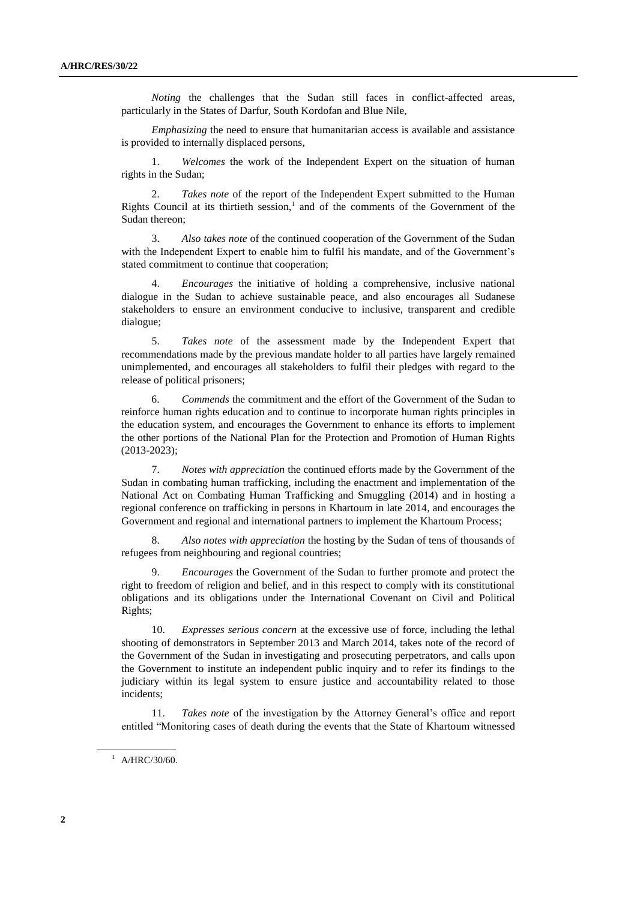*Noting* the challenges that the Sudan still faces in conflict-affected areas, particularly in the States of Darfur, South Kordofan and Blue Nile,

*Emphasizing* the need to ensure that humanitarian access is available and assistance is provided to internally displaced persons,

1. *Welcomes* the work of the Independent Expert on the situation of human rights in the Sudan;

2. *Takes note* of the report of the Independent Expert submitted to the Human Rights Council at its thirtieth session, 1 and of the comments of the Government of the Sudan thereon;

3. *Also takes note* of the continued cooperation of the Government of the Sudan with the Independent Expert to enable him to fulfil his mandate, and of the Government's stated commitment to continue that cooperation;

4. *Encourages* the initiative of holding a comprehensive, inclusive national dialogue in the Sudan to achieve sustainable peace, and also encourages all Sudanese stakeholders to ensure an environment conducive to inclusive, transparent and credible dialogue;

5. *Takes note* of the assessment made by the Independent Expert that recommendations made by the previous mandate holder to all parties have largely remained unimplemented, and encourages all stakeholders to fulfil their pledges with regard to the release of political prisoners;

6. *Commends* the commitment and the effort of the Government of the Sudan to reinforce human rights education and to continue to incorporate human rights principles in the education system, and encourages the Government to enhance its efforts to implement the other portions of the National Plan for the Protection and Promotion of Human Rights (2013-2023);

7. *Notes with appreciation* the continued efforts made by the Government of the Sudan in combating human trafficking, including the enactment and implementation of the National Act on Combating Human Trafficking and Smuggling (2014) and in hosting a regional conference on trafficking in persons in Khartoum in late 2014, and encourages the Government and regional and international partners to implement the Khartoum Process;

8. *Also notes with appreciation* the hosting by the Sudan of tens of thousands of refugees from neighbouring and regional countries;

9. *Encourages* the Government of the Sudan to further promote and protect the right to freedom of religion and belief, and in this respect to comply with its constitutional obligations and its obligations under the International Covenant on Civil and Political Rights;

10. *Expresses serious concern* at the excessive use of force, including the lethal shooting of demonstrators in September 2013 and March 2014, takes note of the record of the Government of the Sudan in investigating and prosecuting perpetrators, and calls upon the Government to institute an independent public inquiry and to refer its findings to the judiciary within its legal system to ensure justice and accountability related to those incidents;

11. *Takes note* of the investigation by the Attorney General's office and report entitled "Monitoring cases of death during the events that the State of Khartoum witnessed

 $^{1}$  A/HRC/30/60.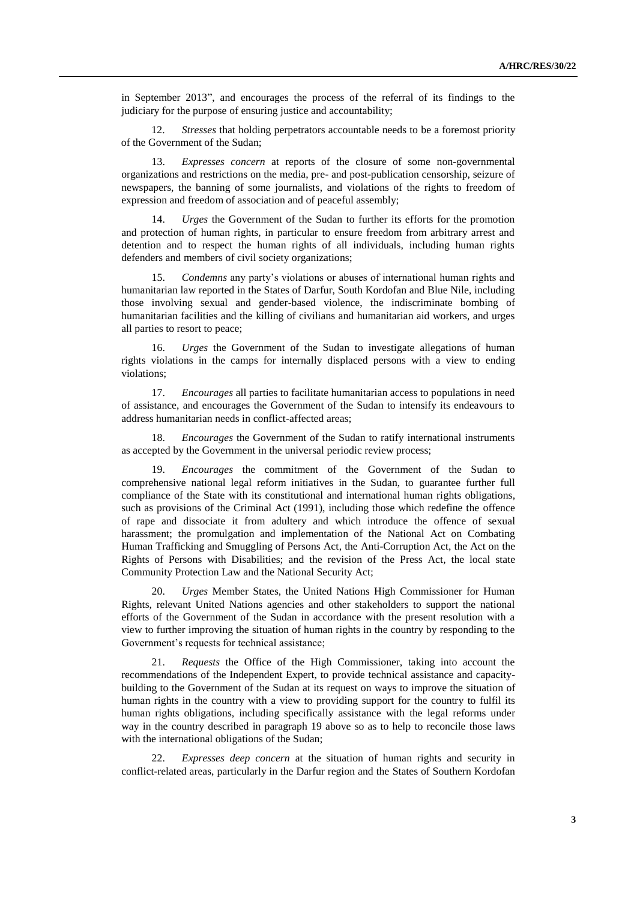in September 2013", and encourages the process of the referral of its findings to the judiciary for the purpose of ensuring justice and accountability;

12. *Stresses* that holding perpetrators accountable needs to be a foremost priority of the Government of the Sudan;

13. *Expresses concern* at reports of the closure of some non-governmental organizations and restrictions on the media, pre- and post-publication censorship, seizure of newspapers, the banning of some journalists, and violations of the rights to freedom of expression and freedom of association and of peaceful assembly;

14. *Urges* the Government of the Sudan to further its efforts for the promotion and protection of human rights, in particular to ensure freedom from arbitrary arrest and detention and to respect the human rights of all individuals, including human rights defenders and members of civil society organizations;

15. *Condemns* any party's violations or abuses of international human rights and humanitarian law reported in the States of Darfur, South Kordofan and Blue Nile, including those involving sexual and gender-based violence, the indiscriminate bombing of humanitarian facilities and the killing of civilians and humanitarian aid workers, and urges all parties to resort to peace;

16. *Urges* the Government of the Sudan to investigate allegations of human rights violations in the camps for internally displaced persons with a view to ending violations;

17. *Encourages* all parties to facilitate humanitarian access to populations in need of assistance, and encourages the Government of the Sudan to intensify its endeavours to address humanitarian needs in conflict-affected areas;

18. *Encourages* the Government of the Sudan to ratify international instruments as accepted by the Government in the universal periodic review process;

19. *Encourages* the commitment of the Government of the Sudan to comprehensive national legal reform initiatives in the Sudan, to guarantee further full compliance of the State with its constitutional and international human rights obligations, such as provisions of the Criminal Act (1991), including those which redefine the offence of rape and dissociate it from adultery and which introduce the offence of sexual harassment; the promulgation and implementation of the National Act on Combating Human Trafficking and Smuggling of Persons Act, the Anti-Corruption Act, the Act on the Rights of Persons with Disabilities; and the revision of the Press Act, the local state Community Protection Law and the National Security Act;

20. *Urges* Member States, the United Nations High Commissioner for Human Rights, relevant United Nations agencies and other stakeholders to support the national efforts of the Government of the Sudan in accordance with the present resolution with a view to further improving the situation of human rights in the country by responding to the Government's requests for technical assistance;

21. *Requests* the Office of the High Commissioner, taking into account the recommendations of the Independent Expert, to provide technical assistance and capacitybuilding to the Government of the Sudan at its request on ways to improve the situation of human rights in the country with a view to providing support for the country to fulfil its human rights obligations, including specifically assistance with the legal reforms under way in the country described in paragraph 19 above so as to help to reconcile those laws with the international obligations of the Sudan;

*Expresses deep concern* at the situation of human rights and security in conflict-related areas, particularly in the Darfur region and the States of Southern Kordofan